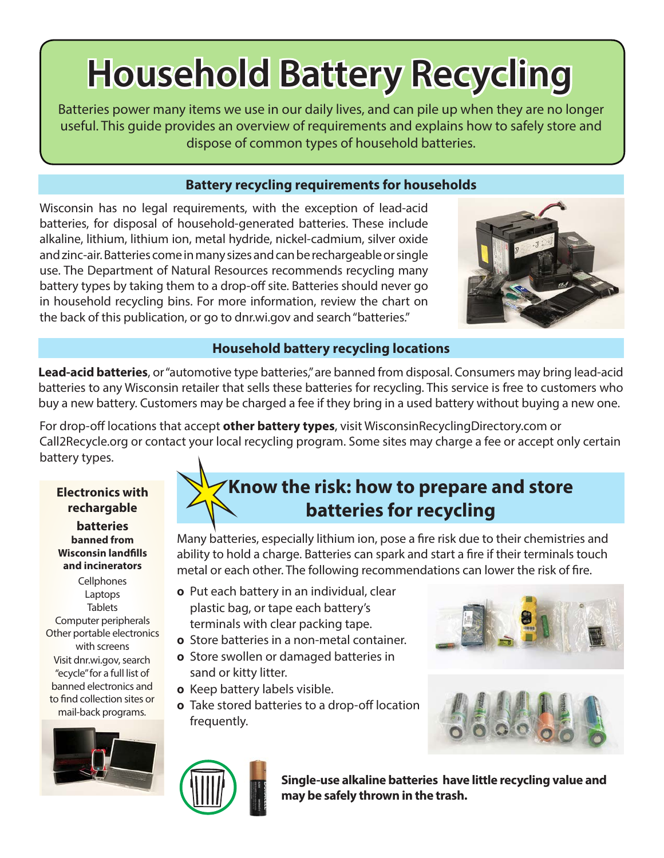# **Household Battery Recycling**

Batteries power many items we use in our daily lives, and can pile up when they are no longer useful. This guide provides an overview of requirements and explains how to safely store and dispose of common types of household batteries.

## **Battery recycling requirements for households**

Wisconsin has no legal requirements, with the exception of lead-acid batteries, for disposal of household-generated batteries. These include alkaline, lithium, lithium ion, metal hydride, nickel-cadmium, silver oxide and zinc-air. Batteries come in many sizes and can be rechargeable or single use. The Department of Natural Resources recommends recycling many battery types by taking them to a drop-off site. Batteries should never go in household recycling bins. For more information, review the chart on the back of this publication, or go to dnr.wi.gov and search "batteries."



## **Household battery recycling locations**

**Lead-acid batteries**, or "automotive type batteries," are banned from disposal. Consumers may bring lead-acid batteries to any Wisconsin retailer that sells these batteries for recycling. This service is free to customers who buy a new battery. Customers may be charged a fee if they bring in a used battery without buying a new one.

For drop-off locations that accept **other battery types**, visit WisconsinRecyclingDirectory.com or Call2Recycle.org or contact your local recycling program. Some sites may charge a fee or accept only certain battery types.

**Electronics with rechargable batteries banned from Wisconsin landfills and incinerators**

**Cellphones** Laptops **Tablets** Computer peripherals Other portable electronics with screens Visit dnr.wi.gov, search "ecycle" for a full list of banned electronics and to find collection sites or mail-back programs.



## **Know the risk: how to prepare and store batteries for recycling**

Many batteries, especially lithium ion, pose a fire risk due to their chemistries and ability to hold a charge. Batteries can spark and start a fire if their terminals touch metal or each other. The following recommendations can lower the risk of fire.

- **0** Put each battery in an individual, clear plastic bag, or tape each battery's terminals with clear packing tape.
- **0** Store batteries in a non-metal container.
- $\circ$  Store swollen or damaged batteries in sand or kitty litter.
- $\circ$  Keep battery labels visible.
- $\circ$  Take stored batteries to a drop-off location frequently.







**Single-use alkaline batteries have little recycling value and may be safely thrown in the trash.**